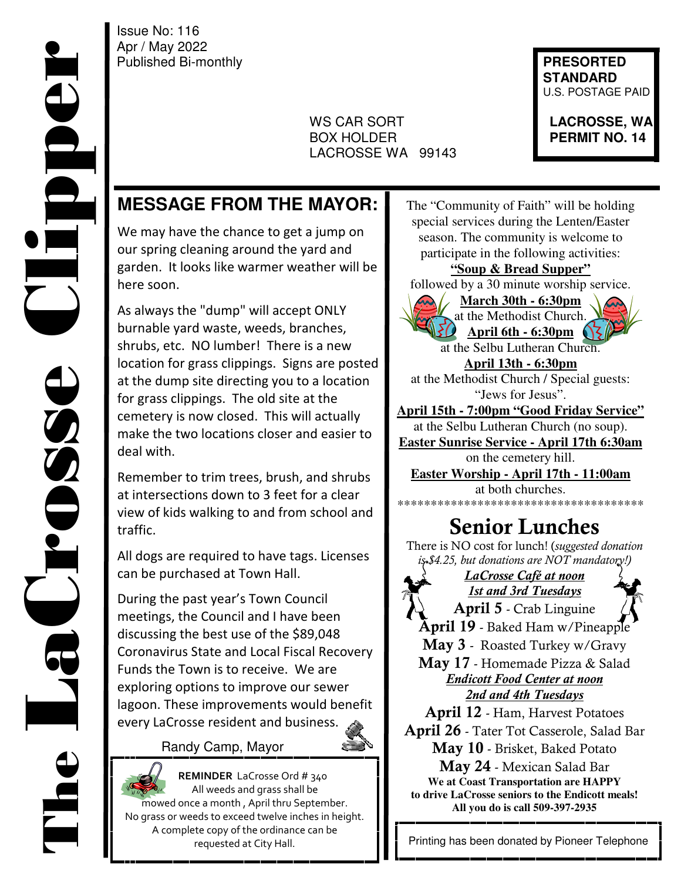Issue No: 116 Apr / May 2022 Published Bi-monthly **Published Bi-monthly** 

 $\overline{\phantom{a}}$ 

 WS CAR SORT **LACROSSE, WA BOX HOLDER PERMIT NO. 14** LACROSSE WA 99143

 **STANDARD**  U.S. POSTAGE PAID

# **MESSAGE FROM THE MAYOR:**

We may have the chance to get a jump on our spring cleaning around the yard and garden. It looks like warmer weather will be here soon.

As always the "dump" will accept ONLY burnable yard waste, weeds, branches, shrubs, etc. NO lumber! There is a new location for grass clippings. Signs are posted at the dump site directing you to a location for grass clippings. The old site at the cemetery is now closed. This will actually make the two locations closer and easier to deal with.

Remember to trim trees, brush, and shrubs at intersections down to 3 feet for a clear view of kids walking to and from school and traffic.

All dogs are required to have tags. Licenses can be purchased at Town Hall.

During the past year's Town Council meetings, the Council and I have been discussing the best use of the \$89,048 Coronavirus State and Local Fiscal Recovery Funds the Town is to receive. We are exploring options to improve our sewer lagoon. These improvements would benefit every LaCrosse resident and business.

#### Randy Camp, Mayor



 **REMINDER** LaCrosse Ord # 340 All weeds and grass shall be mowed once a month , April thru September. No grass or weeds to exceed twelve inches in height. A complete copy of the ordinance can be requested at City Hall.

The "Community of Faith" will be holding special services during the Lenten/Easter season. The community is welcome to participate in the following activities: **"Soup & Bread Supper"**  followed by a 30 minute worship service. **March 30th - 6:30pm**  at the Methodist Church. **April 6th - 6:30pm**  at the Selbu Lutheran Church. **April 13th - 6:30pm**  at the Methodist Church / Special guests: "Jews for Jesus". **April 15th - 7:00pm "Good Friday Service"**  at the Selbu Lutheran Church (no soup). **Easter Sunrise Service - April 17th 6:30am** on the cemetery hill. **Easter Worship - April 17th - 11:00am**  at both churches. \*\*\*\*\*\*\*\*\*\*\*\*\*\*\*\*\*\*\*\*\*\*\*\*\*\*\*\*\*\*\*\*\*\*\*\*\* **Senior Lunches**  There is NO cost for lunch! (*suggested donation is \$4.25, but donations are NOT mandatory!) LaCrosse Café at noon 1st and 3rd Tuesdays* **April 5** - Crab Linguine **April 19** - Baked Ham w/Pineapple **May 3** - Roasted Turkey w/Gravy **May 17** - Homemade Pizza & Salad *Endicott Food Center at noon 2nd and 4th Tuesdays* **April 12** - Ham, Harvest Potatoes **April 26** - Tater Tot Casserole, Salad Bar **May 10** - Brisket, Baked Potato **May 24** - Mexican Salad Bar

**We at Coast Transportation are HAPPY to drive LaCrosse seniors to the Endicott meals! All you do is call 509-397-2935**

Printing has been donated by Pioneer Telephone